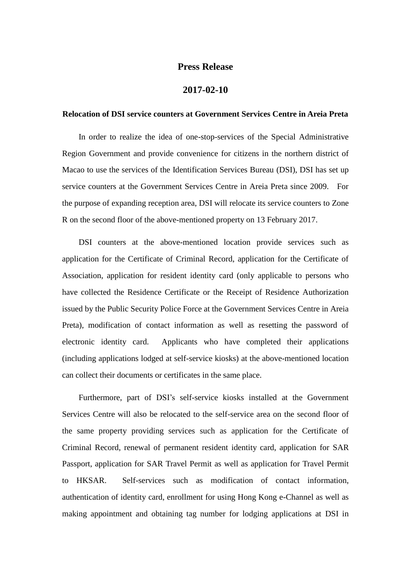## **Press Release**

## **2017-02-10**

## **Relocation of DSI service counters at Government Services Centre in Areia Preta**

In order to realize the idea of one-stop-services of the Special Administrative Region Government and provide convenience for citizens in the northern district of Macao to use the services of the Identification Services Bureau (DSI), DSI has set up service counters at the Government Services Centre in Areia Preta since 2009. For the purpose of expanding reception area, DSI will relocate its service counters to Zone R on the second floor of the above-mentioned property on 13 February 2017.

DSI counters at the above-mentioned location provide services such as application for the Certificate of Criminal Record, application for the Certificate of Association, application for resident identity card (only applicable to persons who have collected the Residence Certificate or the Receipt of Residence Authorization issued by the Public Security Police Force at the Government Services Centre in Areia Preta), modification of contact information as well as resetting the password of electronic identity card. Applicants who have completed their applications (including applications lodged at self-service kiosks) at the above-mentioned location can collect their documents or certificates in the same place.

Furthermore, part of DSI's self-service kiosks installed at the Government Services Centre will also be relocated to the self-service area on the second floor of the same property providing services such as application for the Certificate of Criminal Record, renewal of permanent resident identity card, application for SAR Passport, application for SAR Travel Permit as well as application for Travel Permit to HKSAR. Self-services such as modification of contact information, authentication of identity card, enrollment for using Hong Kong e-Channel as well as making appointment and obtaining tag number for lodging applications at DSI in